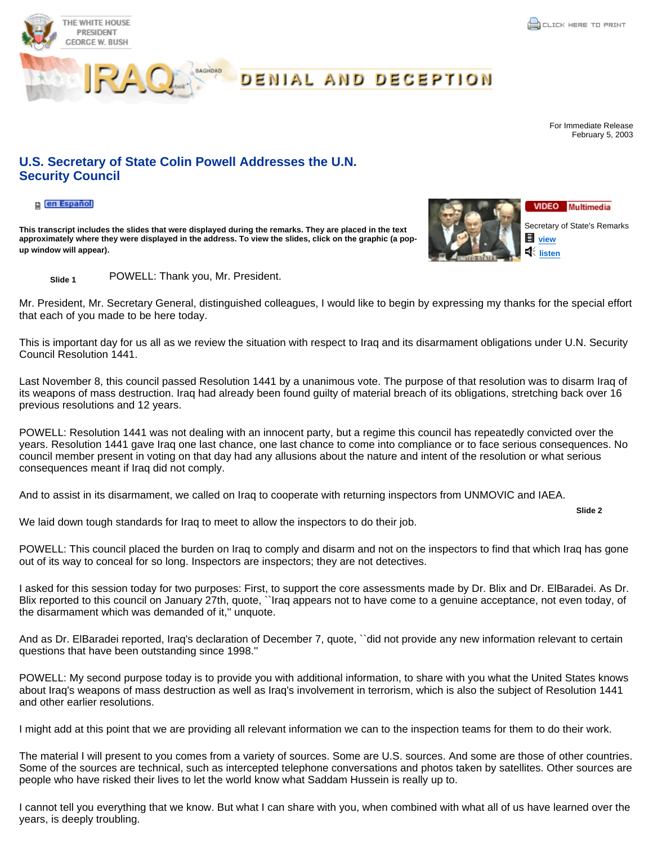



# DENIAL AND DECEPTION

For Immediate Release February 5, 2003

# **U.S. Secretary of State Colin Powell Addresses the U.N. Security Council**

### en Español

**This transcript includes the slides that were displayed during the remarks. They are placed in the text approximately where they were displayed in the address. To view the slides, click on the graphic (a popup window will appear).**

POWELL: Thank you, Mr. President. **Slide 1**



This is important day for us all as we review the situation with respect to Iraq and its disarmament obligations under U.N. Security Council Resolution 1441.

Last November 8, this council passed Resolution 1441 by a unanimous vote. The purpose of that resolution was to disarm Iraq of its weapons of mass destruction. Iraq had already been found guilty of material breach of its obligations, stretching back over 16 previous resolutions and 12 years.

POWELL: Resolution 1441 was not dealing with an innocent party, but a regime this council has repeatedly convicted over the years. Resolution 1441 gave Iraq one last chance, one last chance to come into compliance or to face serious consequences. No council member present in voting on that day had any allusions about the nature and intent of the resolution or what serious consequences meant if Iraq did not comply.

And to assist in its disarmament, we called on Iraq to cooperate with returning inspectors from UNMOVIC and IAEA.

**Slide 2**

We laid down tough standards for Iraq to meet to allow the inspectors to do their job.

POWELL: This council placed the burden on Iraq to comply and disarm and not on the inspectors to find that which Iraq has gone out of its way to conceal for so long. Inspectors are inspectors; they are not detectives.

I asked for this session today for two purposes: First, to support the core assessments made by Dr. Blix and Dr. ElBaradei. As Dr. Blix reported to this council on January 27th, quote, ``Iraq appears not to have come to a genuine acceptance, not even today, of the disarmament which was demanded of it,'' unquote.

And as Dr. ElBaradei reported, Iraq's declaration of December 7, quote, ``did not provide any new information relevant to certain questions that have been outstanding since 1998.''

POWELL: My second purpose today is to provide you with additional information, to share with you what the United States knows about Iraq's weapons of mass destruction as well as Iraq's involvement in terrorism, which is also the subject of Resolution 1441 and other earlier resolutions.

I might add at this point that we are providing all relevant information we can to the inspection teams for them to do their work.

The material I will present to you comes from a variety of sources. Some are U.S. sources. And some are those of other countries. Some of the sources are technical, such as intercepted telephone conversations and photos taken by satellites. Other sources are people who have risked their lives to let the world know what Saddam Hussein is really up to.

I cannot tell you everything that we know. But what I can share with you, when combined with what all of us have learned over the years, is deeply troubling.



VIDEO Multimedia Secretary of State's Remarks **view**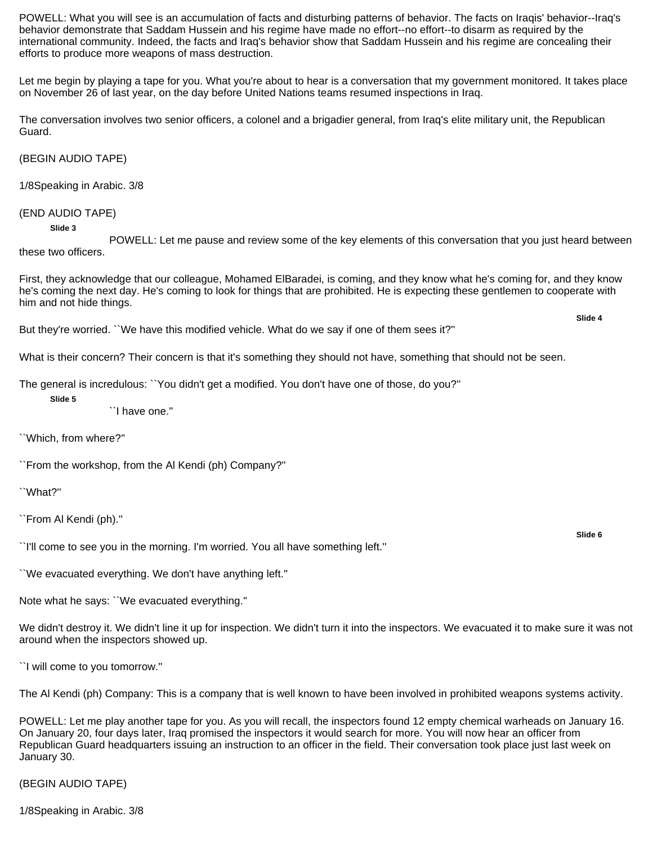POWELL: What you will see is an accumulation of facts and disturbing patterns of behavior. The facts on Iraqis' behavior--Iraq's behavior demonstrate that Saddam Hussein and his regime have made no effort--no effort--to disarm as required by the international community. Indeed, the facts and Iraq's behavior show that Saddam Hussein and his regime are concealing their efforts to produce more weapons of mass destruction.

Let me begin by playing a tape for you. What you're about to hear is a conversation that my government monitored. It takes place on November 26 of last year, on the day before United Nations teams resumed inspections in Iraq.

The conversation involves two senior officers, a colonel and a brigadier general, from Iraq's elite military unit, the Republican Guard.

(BEGIN AUDIO TAPE)

1/8Speaking in Arabic. 3/8

(END AUDIO TAPE)

**Slide 3**

POWELL: Let me pause and review some of the key elements of this conversation that you just heard between these two officers.

First, they acknowledge that our colleague, Mohamed ElBaradei, is coming, and they know what he's coming for, and they know he's coming the next day. He's coming to look for things that are prohibited. He is expecting these gentlemen to cooperate with him and not hide things.

But they're worried. ``We have this modified vehicle. What do we say if one of them sees it?''

What is their concern? Their concern is that it's something they should not have, something that should not be seen.

The general is incredulous: ``You didn't get a modified. You don't have one of those, do you?''

**Slide 5**

``I have one.''

``Which, from where?''

``From the workshop, from the Al Kendi (ph) Company?''

``What?''

``From Al Kendi (ph).''

``I'll come to see you in the morning. I'm worried. You all have something left.''

``We evacuated everything. We don't have anything left.''

Note what he says: ``We evacuated everything.''

We didn't destroy it. We didn't line it up for inspection. We didn't turn it into the inspectors. We evacuated it to make sure it was not around when the inspectors showed up.

``I will come to you tomorrow.''

The Al Kendi (ph) Company: This is a company that is well known to have been involved in prohibited weapons systems activity.

POWELL: Let me play another tape for you. As you will recall, the inspectors found 12 empty chemical warheads on January 16. On January 20, four days later, Iraq promised the inspectors it would search for more. You will now hear an officer from Republican Guard headquarters issuing an instruction to an officer in the field. Their conversation took place just last week on January 30.

(BEGIN AUDIO TAPE)

1/8Speaking in Arabic. 3/8

**Slide 4**

**Slide 6**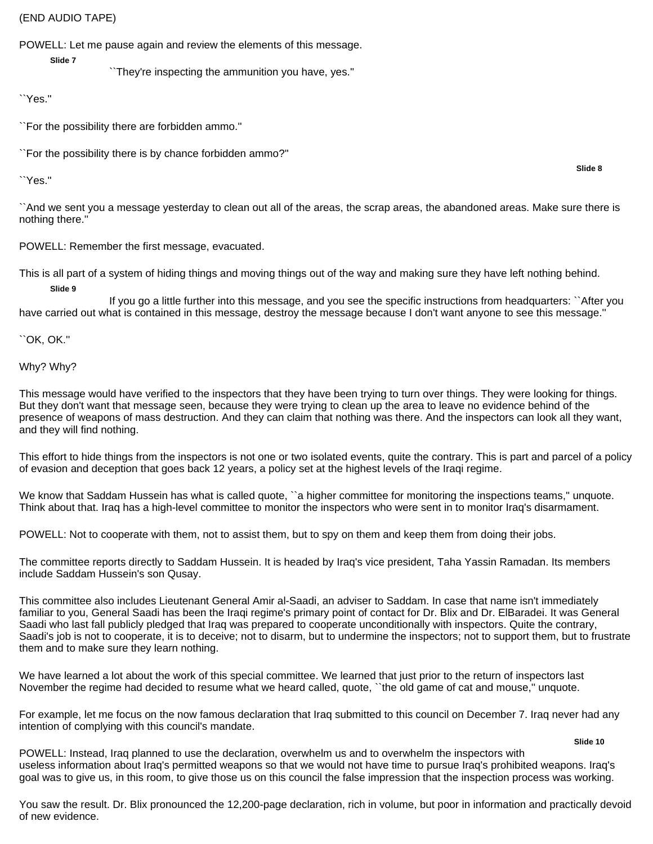(END AUDIO TAPE)

POWELL: Let me pause again and review the elements of this message.

**Slide 7**

``They're inspecting the ammunition you have, yes.''

``Yes.''

``For the possibility there are forbidden ammo.''

``For the possibility there is by chance forbidden ammo?''

``Yes.''

``And we sent you a message yesterday to clean out all of the areas, the scrap areas, the abandoned areas. Make sure there is nothing there.''

POWELL: Remember the first message, evacuated.

This is all part of a system of hiding things and moving things out of the way and making sure they have left nothing behind. **Slide 9**

If you go a little further into this message, and you see the specific instructions from headquarters: ``After you have carried out what is contained in this message, destroy the message because I don't want anyone to see this message.''

``OK, OK.''

Why? Why?

This message would have verified to the inspectors that they have been trying to turn over things. They were looking for things. But they don't want that message seen, because they were trying to clean up the area to leave no evidence behind of the presence of weapons of mass destruction. And they can claim that nothing was there. And the inspectors can look all they want, and they will find nothing.

This effort to hide things from the inspectors is not one or two isolated events, quite the contrary. This is part and parcel of a policy of evasion and deception that goes back 12 years, a policy set at the highest levels of the Iraqi regime.

We know that Saddam Hussein has what is called quote, "a higher committee for monitoring the inspections teams," unquote. Think about that. Iraq has a high-level committee to monitor the inspectors who were sent in to monitor Iraq's disarmament.

POWELL: Not to cooperate with them, not to assist them, but to spy on them and keep them from doing their jobs.

The committee reports directly to Saddam Hussein. It is headed by Iraq's vice president, Taha Yassin Ramadan. Its members include Saddam Hussein's son Qusay.

This committee also includes Lieutenant General Amir al-Saadi, an adviser to Saddam. In case that name isn't immediately familiar to you, General Saadi has been the Iraqi regime's primary point of contact for Dr. Blix and Dr. ElBaradei. It was General Saadi who last fall publicly pledged that Iraq was prepared to cooperate unconditionally with inspectors. Quite the contrary, Saadi's job is not to cooperate, it is to deceive; not to disarm, but to undermine the inspectors; not to support them, but to frustrate them and to make sure they learn nothing.

We have learned a lot about the work of this special committee. We learned that just prior to the return of inspectors last November the regime had decided to resume what we heard called, quote, ``the old game of cat and mouse,'' unquote.

For example, let me focus on the now famous declaration that Iraq submitted to this council on December 7. Iraq never had any intention of complying with this council's mandate.

**Slide 10**

**Slide 8**

POWELL: Instead, Iraq planned to use the declaration, overwhelm us and to overwhelm the inspectors with useless information about Iraq's permitted weapons so that we would not have time to pursue Iraq's prohibited weapons. Iraq's goal was to give us, in this room, to give those us on this council the false impression that the inspection process was working.

You saw the result. Dr. Blix pronounced the 12,200-page declaration, rich in volume, but poor in information and practically devoid of new evidence.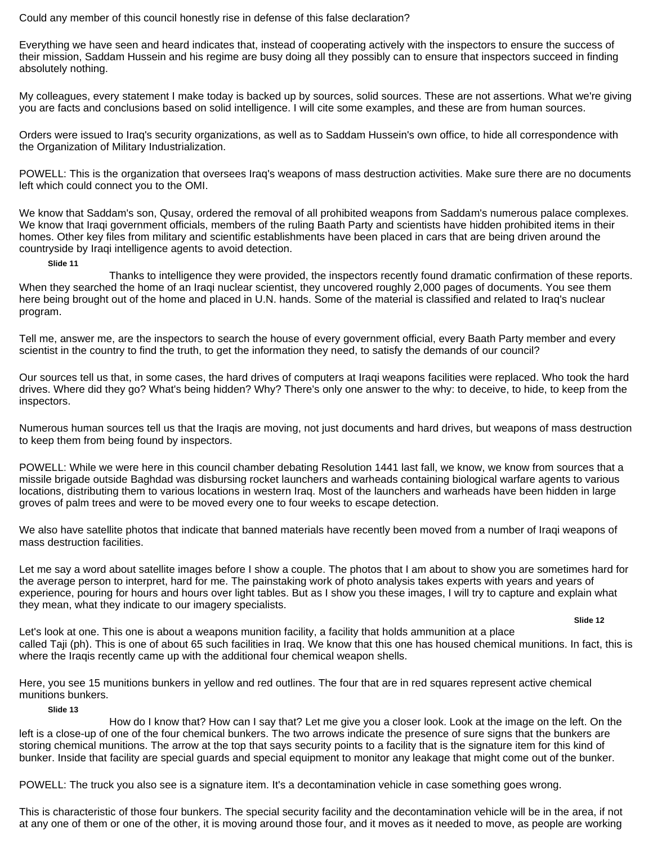Could any member of this council honestly rise in defense of this false declaration?

Everything we have seen and heard indicates that, instead of cooperating actively with the inspectors to ensure the success of their mission, Saddam Hussein and his regime are busy doing all they possibly can to ensure that inspectors succeed in finding absolutely nothing.

My colleagues, every statement I make today is backed up by sources, solid sources. These are not assertions. What we're giving you are facts and conclusions based on solid intelligence. I will cite some examples, and these are from human sources.

Orders were issued to Iraq's security organizations, as well as to Saddam Hussein's own office, to hide all correspondence with the Organization of Military Industrialization.

POWELL: This is the organization that oversees Iraq's weapons of mass destruction activities. Make sure there are no documents left which could connect you to the OMI.

We know that Saddam's son, Qusay, ordered the removal of all prohibited weapons from Saddam's numerous palace complexes. We know that Iraqi government officials, members of the ruling Baath Party and scientists have hidden prohibited items in their homes. Other key files from military and scientific establishments have been placed in cars that are being driven around the countryside by Iraqi intelligence agents to avoid detection.

# **Slide 11**

Thanks to intelligence they were provided, the inspectors recently found dramatic confirmation of these reports. When they searched the home of an Iraqi nuclear scientist, they uncovered roughly 2,000 pages of documents. You see them here being brought out of the home and placed in U.N. hands. Some of the material is classified and related to Iraq's nuclear program.

Tell me, answer me, are the inspectors to search the house of every government official, every Baath Party member and every scientist in the country to find the truth, to get the information they need, to satisfy the demands of our council?

Our sources tell us that, in some cases, the hard drives of computers at Iraqi weapons facilities were replaced. Who took the hard drives. Where did they go? What's being hidden? Why? There's only one answer to the why: to deceive, to hide, to keep from the inspectors.

Numerous human sources tell us that the Iraqis are moving, not just documents and hard drives, but weapons of mass destruction to keep them from being found by inspectors.

POWELL: While we were here in this council chamber debating Resolution 1441 last fall, we know, we know from sources that a missile brigade outside Baghdad was disbursing rocket launchers and warheads containing biological warfare agents to various locations, distributing them to various locations in western Iraq. Most of the launchers and warheads have been hidden in large groves of palm trees and were to be moved every one to four weeks to escape detection.

We also have satellite photos that indicate that banned materials have recently been moved from a number of Iraqi weapons of mass destruction facilities.

Let me say a word about satellite images before I show a couple. The photos that I am about to show you are sometimes hard for the average person to interpret, hard for me. The painstaking work of photo analysis takes experts with years and years of experience, pouring for hours and hours over light tables. But as I show you these images, I will try to capture and explain what they mean, what they indicate to our imagery specialists.

**Slide 12**

Let's look at one. This one is about a weapons munition facility, a facility that holds ammunition at a place called Taji (ph). This is one of about 65 such facilities in Iraq. We know that this one has housed chemical munitions. In fact, this is where the Iraqis recently came up with the additional four chemical weapon shells.

Here, you see 15 munitions bunkers in yellow and red outlines. The four that are in red squares represent active chemical munitions bunkers.

**Slide 13**

How do I know that? How can I say that? Let me give you a closer look. Look at the image on the left. On the left is a close-up of one of the four chemical bunkers. The two arrows indicate the presence of sure signs that the bunkers are storing chemical munitions. The arrow at the top that says security points to a facility that is the signature item for this kind of bunker. Inside that facility are special guards and special equipment to monitor any leakage that might come out of the bunker.

POWELL: The truck you also see is a signature item. It's a decontamination vehicle in case something goes wrong.

This is characteristic of those four bunkers. The special security facility and the decontamination vehicle will be in the area, if not at any one of them or one of the other, it is moving around those four, and it moves as it needed to move, as people are working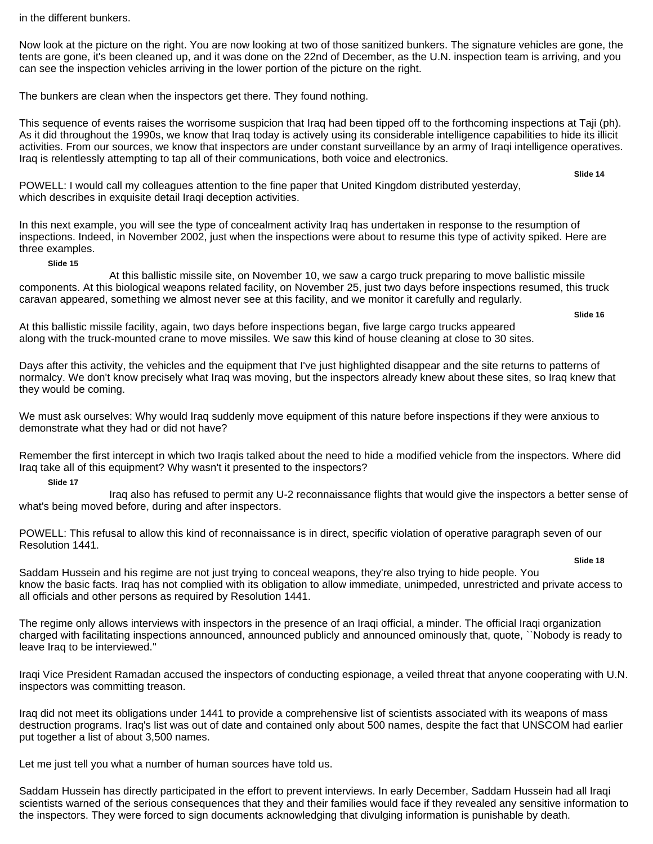in the different bunkers.

Now look at the picture on the right. You are now looking at two of those sanitized bunkers. The signature vehicles are gone, the tents are gone, it's been cleaned up, and it was done on the 22nd of December, as the U.N. inspection team is arriving, and you can see the inspection vehicles arriving in the lower portion of the picture on the right.

The bunkers are clean when the inspectors get there. They found nothing.

This sequence of events raises the worrisome suspicion that Iraq had been tipped off to the forthcoming inspections at Taji (ph). As it did throughout the 1990s, we know that Iraq today is actively using its considerable intelligence capabilities to hide its illicit activities. From our sources, we know that inspectors are under constant surveillance by an army of Iraqi intelligence operatives. Iraq is relentlessly attempting to tap all of their communications, both voice and electronics.

**Slide 14**

POWELL: I would call my colleagues attention to the fine paper that United Kingdom distributed yesterday, which describes in exquisite detail Iraqi deception activities.

In this next example, you will see the type of concealment activity Iraq has undertaken in response to the resumption of inspections. Indeed, in November 2002, just when the inspections were about to resume this type of activity spiked. Here are three examples.

### **Slide 15**

At this ballistic missile site, on November 10, we saw a cargo truck preparing to move ballistic missile components. At this biological weapons related facility, on November 25, just two days before inspections resumed, this truck caravan appeared, something we almost never see at this facility, and we monitor it carefully and regularly.

**Slide 16**

At this ballistic missile facility, again, two days before inspections began, five large cargo trucks appeared along with the truck-mounted crane to move missiles. We saw this kind of house cleaning at close to 30 sites.

Days after this activity, the vehicles and the equipment that I've just highlighted disappear and the site returns to patterns of normalcy. We don't know precisely what Iraq was moving, but the inspectors already knew about these sites, so Iraq knew that they would be coming.

We must ask ourselves: Why would Iraq suddenly move equipment of this nature before inspections if they were anxious to demonstrate what they had or did not have?

Remember the first intercept in which two Iraqis talked about the need to hide a modified vehicle from the inspectors. Where did Iraq take all of this equipment? Why wasn't it presented to the inspectors?

**Slide 17**

Iraq also has refused to permit any U-2 reconnaissance flights that would give the inspectors a better sense of what's being moved before, during and after inspectors.

POWELL: This refusal to allow this kind of reconnaissance is in direct, specific violation of operative paragraph seven of our Resolution 1441.

**Slide 18**

Saddam Hussein and his regime are not just trying to conceal weapons, they're also trying to hide people. You know the basic facts. Iraq has not complied with its obligation to allow immediate, unimpeded, unrestricted and private access to all officials and other persons as required by Resolution 1441.

The regime only allows interviews with inspectors in the presence of an Iraqi official, a minder. The official Iraqi organization charged with facilitating inspections announced, announced publicly and announced ominously that, quote, ``Nobody is ready to leave Iraq to be interviewed.''

Iraqi Vice President Ramadan accused the inspectors of conducting espionage, a veiled threat that anyone cooperating with U.N. inspectors was committing treason.

Iraq did not meet its obligations under 1441 to provide a comprehensive list of scientists associated with its weapons of mass destruction programs. Iraq's list was out of date and contained only about 500 names, despite the fact that UNSCOM had earlier put together a list of about 3,500 names.

Let me just tell you what a number of human sources have told us.

Saddam Hussein has directly participated in the effort to prevent interviews. In early December, Saddam Hussein had all Iraqi scientists warned of the serious consequences that they and their families would face if they revealed any sensitive information to the inspectors. They were forced to sign documents acknowledging that divulging information is punishable by death.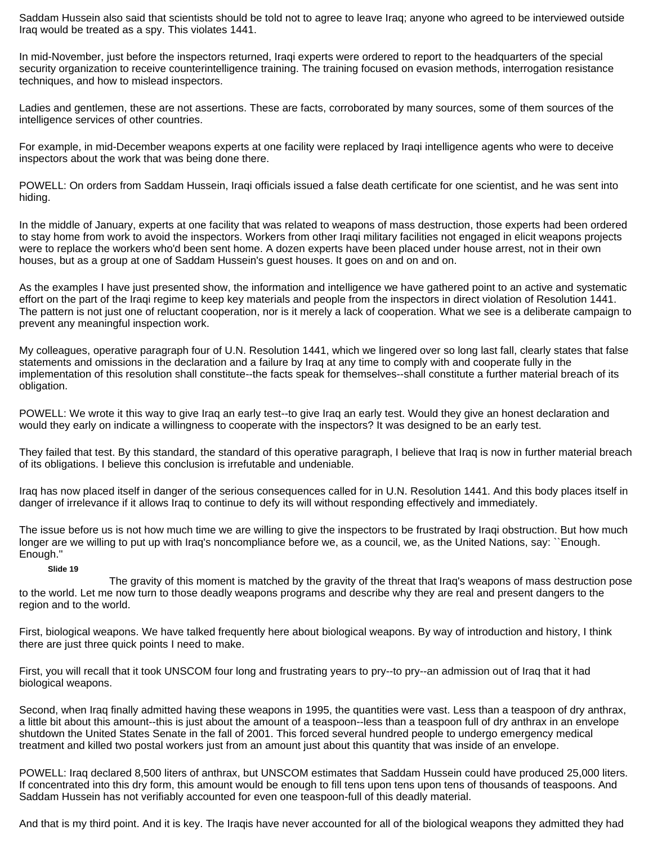Saddam Hussein also said that scientists should be told not to agree to leave Iraq; anyone who agreed to be interviewed outside Iraq would be treated as a spy. This violates 1441.

In mid-November, just before the inspectors returned, Iraqi experts were ordered to report to the headquarters of the special security organization to receive counterintelligence training. The training focused on evasion methods, interrogation resistance techniques, and how to mislead inspectors.

Ladies and gentlemen, these are not assertions. These are facts, corroborated by many sources, some of them sources of the intelligence services of other countries.

For example, in mid-December weapons experts at one facility were replaced by Iraqi intelligence agents who were to deceive inspectors about the work that was being done there.

POWELL: On orders from Saddam Hussein, Iraqi officials issued a false death certificate for one scientist, and he was sent into hiding.

In the middle of January, experts at one facility that was related to weapons of mass destruction, those experts had been ordered to stay home from work to avoid the inspectors. Workers from other Iraqi military facilities not engaged in elicit weapons projects were to replace the workers who'd been sent home. A dozen experts have been placed under house arrest, not in their own houses, but as a group at one of Saddam Hussein's guest houses. It goes on and on and on.

As the examples I have just presented show, the information and intelligence we have gathered point to an active and systematic effort on the part of the Iraqi regime to keep key materials and people from the inspectors in direct violation of Resolution 1441. The pattern is not just one of reluctant cooperation, nor is it merely a lack of cooperation. What we see is a deliberate campaign to prevent any meaningful inspection work.

My colleagues, operative paragraph four of U.N. Resolution 1441, which we lingered over so long last fall, clearly states that false statements and omissions in the declaration and a failure by Iraq at any time to comply with and cooperate fully in the implementation of this resolution shall constitute--the facts speak for themselves--shall constitute a further material breach of its obligation.

POWELL: We wrote it this way to give Iraq an early test--to give Iraq an early test. Would they give an honest declaration and would they early on indicate a willingness to cooperate with the inspectors? It was designed to be an early test.

They failed that test. By this standard, the standard of this operative paragraph, I believe that Iraq is now in further material breach of its obligations. I believe this conclusion is irrefutable and undeniable.

Iraq has now placed itself in danger of the serious consequences called for in U.N. Resolution 1441. And this body places itself in danger of irrelevance if it allows Iraq to continue to defy its will without responding effectively and immediately.

The issue before us is not how much time we are willing to give the inspectors to be frustrated by Iraqi obstruction. But how much longer are we willing to put up with Iraq's noncompliance before we, as a council, we, as the United Nations, say: ``Enough. Enough.''

# **Slide 19**

The gravity of this moment is matched by the gravity of the threat that Iraq's weapons of mass destruction pose to the world. Let me now turn to those deadly weapons programs and describe why they are real and present dangers to the region and to the world.

First, biological weapons. We have talked frequently here about biological weapons. By way of introduction and history, I think there are just three quick points I need to make.

First, you will recall that it took UNSCOM four long and frustrating years to pry--to pry--an admission out of Iraq that it had biological weapons.

Second, when Iraq finally admitted having these weapons in 1995, the quantities were vast. Less than a teaspoon of dry anthrax, a little bit about this amount--this is just about the amount of a teaspoon--less than a teaspoon full of dry anthrax in an envelope shutdown the United States Senate in the fall of 2001. This forced several hundred people to undergo emergency medical treatment and killed two postal workers just from an amount just about this quantity that was inside of an envelope.

POWELL: Iraq declared 8,500 liters of anthrax, but UNSCOM estimates that Saddam Hussein could have produced 25,000 liters. If concentrated into this dry form, this amount would be enough to fill tens upon tens upon tens of thousands of teaspoons. And Saddam Hussein has not verifiably accounted for even one teaspoon-full of this deadly material.

And that is my third point. And it is key. The Iraqis have never accounted for all of the biological weapons they admitted they had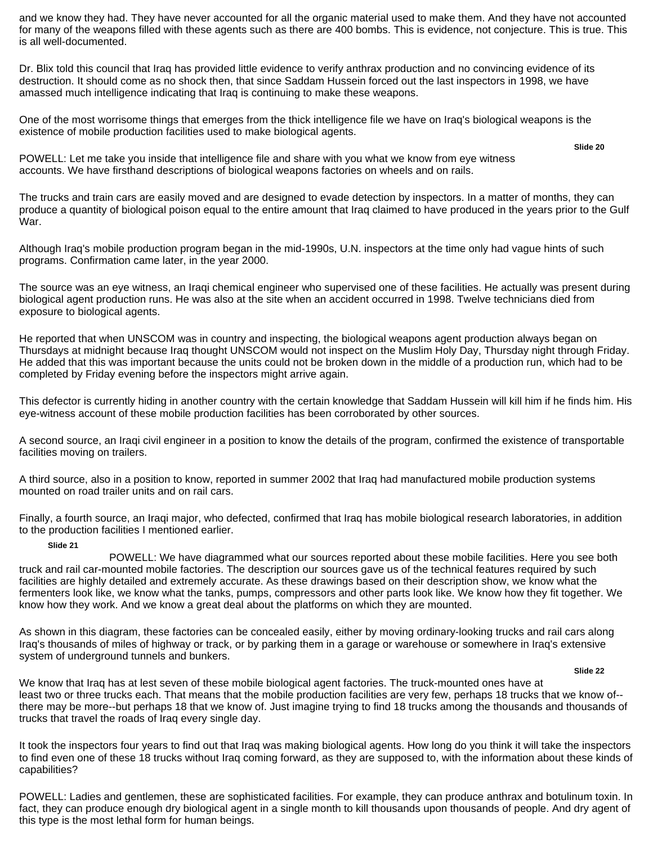and we know they had. They have never accounted for all the organic material used to make them. And they have not accounted for many of the weapons filled with these agents such as there are 400 bombs. This is evidence, not conjecture. This is true. This is all well-documented.

Dr. Blix told this council that Iraq has provided little evidence to verify anthrax production and no convincing evidence of its destruction. It should come as no shock then, that since Saddam Hussein forced out the last inspectors in 1998, we have amassed much intelligence indicating that Iraq is continuing to make these weapons.

One of the most worrisome things that emerges from the thick intelligence file we have on Iraq's biological weapons is the existence of mobile production facilities used to make biological agents.

**Slide 20**

POWELL: Let me take you inside that intelligence file and share with you what we know from eye witness accounts. We have firsthand descriptions of biological weapons factories on wheels and on rails.

The trucks and train cars are easily moved and are designed to evade detection by inspectors. In a matter of months, they can produce a quantity of biological poison equal to the entire amount that Iraq claimed to have produced in the years prior to the Gulf War.

Although Iraq's mobile production program began in the mid-1990s, U.N. inspectors at the time only had vague hints of such programs. Confirmation came later, in the year 2000.

The source was an eye witness, an Iraqi chemical engineer who supervised one of these facilities. He actually was present during biological agent production runs. He was also at the site when an accident occurred in 1998. Twelve technicians died from exposure to biological agents.

He reported that when UNSCOM was in country and inspecting, the biological weapons agent production always began on Thursdays at midnight because Iraq thought UNSCOM would not inspect on the Muslim Holy Day, Thursday night through Friday. He added that this was important because the units could not be broken down in the middle of a production run, which had to be completed by Friday evening before the inspectors might arrive again.

This defector is currently hiding in another country with the certain knowledge that Saddam Hussein will kill him if he finds him. His eye-witness account of these mobile production facilities has been corroborated by other sources.

A second source, an Iraqi civil engineer in a position to know the details of the program, confirmed the existence of transportable facilities moving on trailers.

A third source, also in a position to know, reported in summer 2002 that Iraq had manufactured mobile production systems mounted on road trailer units and on rail cars.

Finally, a fourth source, an Iraqi major, who defected, confirmed that Iraq has mobile biological research laboratories, in addition to the production facilities I mentioned earlier.

# **Slide 21**

POWELL: We have diagrammed what our sources reported about these mobile facilities. Here you see both truck and rail car-mounted mobile factories. The description our sources gave us of the technical features required by such facilities are highly detailed and extremely accurate. As these drawings based on their description show, we know what the fermenters look like, we know what the tanks, pumps, compressors and other parts look like. We know how they fit together. We know how they work. And we know a great deal about the platforms on which they are mounted.

As shown in this diagram, these factories can be concealed easily, either by moving ordinary-looking trucks and rail cars along Iraq's thousands of miles of highway or track, or by parking them in a garage or warehouse or somewhere in Iraq's extensive system of underground tunnels and bunkers.

**Slide 22**

We know that Iraq has at lest seven of these mobile biological agent factories. The truck-mounted ones have at least two or three trucks each. That means that the mobile production facilities are very few, perhaps 18 trucks that we know of- there may be more--but perhaps 18 that we know of. Just imagine trying to find 18 trucks among the thousands and thousands of trucks that travel the roads of Iraq every single day.

It took the inspectors four years to find out that Iraq was making biological agents. How long do you think it will take the inspectors to find even one of these 18 trucks without Iraq coming forward, as they are supposed to, with the information about these kinds of capabilities?

POWELL: Ladies and gentlemen, these are sophisticated facilities. For example, they can produce anthrax and botulinum toxin. In fact, they can produce enough dry biological agent in a single month to kill thousands upon thousands of people. And dry agent of this type is the most lethal form for human beings.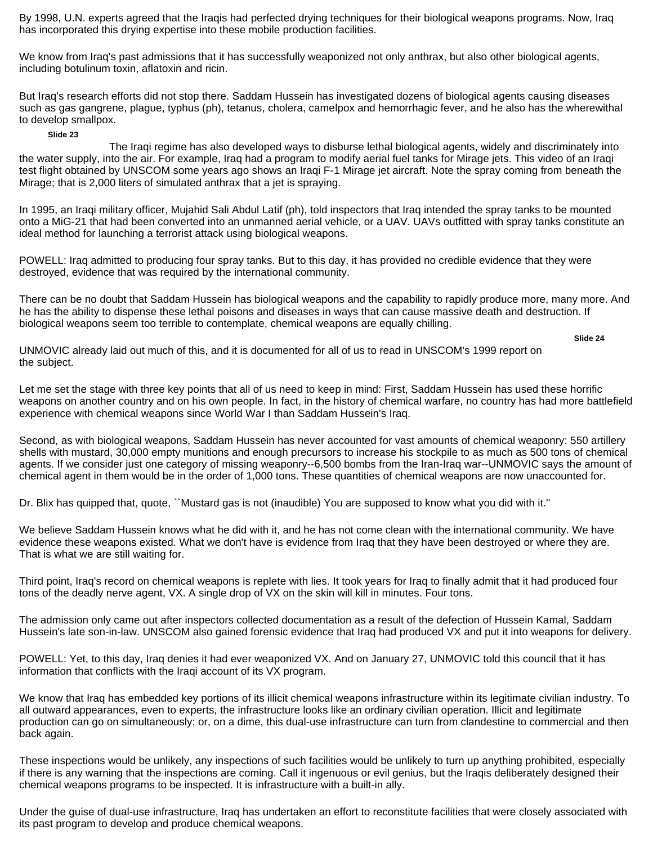By 1998, U.N. experts agreed that the Iraqis had perfected drying techniques for their biological weapons programs. Now, Iraq has incorporated this drying expertise into these mobile production facilities.

We know from Iraq's past admissions that it has successfully weaponized not only anthrax, but also other biological agents, including botulinum toxin, aflatoxin and ricin.

But Iraq's research efforts did not stop there. Saddam Hussein has investigated dozens of biological agents causing diseases such as gas gangrene, plague, typhus (ph), tetanus, cholera, camelpox and hemorrhagic fever, and he also has the wherewithal to develop smallpox.

**Slide 23**

The Iraqi regime has also developed ways to disburse lethal biological agents, widely and discriminately into the water supply, into the air. For example, Iraq had a program to modify aerial fuel tanks for Mirage jets. This video of an Iraqi test flight obtained by UNSCOM some years ago shows an Iraqi F-1 Mirage jet aircraft. Note the spray coming from beneath the Mirage; that is 2,000 liters of simulated anthrax that a jet is spraying.

In 1995, an Iraqi military officer, Mujahid Sali Abdul Latif (ph), told inspectors that Iraq intended the spray tanks to be mounted onto a MiG-21 that had been converted into an unmanned aerial vehicle, or a UAV. UAVs outfitted with spray tanks constitute an ideal method for launching a terrorist attack using biological weapons.

POWELL: Iraq admitted to producing four spray tanks. But to this day, it has provided no credible evidence that they were destroyed, evidence that was required by the international community.

There can be no doubt that Saddam Hussein has biological weapons and the capability to rapidly produce more, many more. And he has the ability to dispense these lethal poisons and diseases in ways that can cause massive death and destruction. If biological weapons seem too terrible to contemplate, chemical weapons are equally chilling.

**Slide 24**

UNMOVIC already laid out much of this, and it is documented for all of us to read in UNSCOM's 1999 report on the subject.

Let me set the stage with three key points that all of us need to keep in mind: First, Saddam Hussein has used these horrific weapons on another country and on his own people. In fact, in the history of chemical warfare, no country has had more battlefield experience with chemical weapons since World War I than Saddam Hussein's Iraq.

Second, as with biological weapons, Saddam Hussein has never accounted for vast amounts of chemical weaponry: 550 artillery shells with mustard, 30,000 empty munitions and enough precursors to increase his stockpile to as much as 500 tons of chemical agents. If we consider just one category of missing weaponry--6,500 bombs from the Iran-Iraq war--UNMOVIC says the amount of chemical agent in them would be in the order of 1,000 tons. These quantities of chemical weapons are now unaccounted for.

Dr. Blix has quipped that, quote, ``Mustard gas is not (inaudible) You are supposed to know what you did with it.''

We believe Saddam Hussein knows what he did with it, and he has not come clean with the international community. We have evidence these weapons existed. What we don't have is evidence from Iraq that they have been destroyed or where they are. That is what we are still waiting for.

Third point, Iraq's record on chemical weapons is replete with lies. It took years for Iraq to finally admit that it had produced four tons of the deadly nerve agent, VX. A single drop of VX on the skin will kill in minutes. Four tons.

The admission only came out after inspectors collected documentation as a result of the defection of Hussein Kamal, Saddam Hussein's late son-in-law. UNSCOM also gained forensic evidence that Iraq had produced VX and put it into weapons for delivery.

POWELL: Yet, to this day, Iraq denies it had ever weaponized VX. And on January 27, UNMOVIC told this council that it has information that conflicts with the Iraqi account of its VX program.

We know that Iraq has embedded key portions of its illicit chemical weapons infrastructure within its legitimate civilian industry. To all outward appearances, even to experts, the infrastructure looks like an ordinary civilian operation. Illicit and legitimate production can go on simultaneously; or, on a dime, this dual-use infrastructure can turn from clandestine to commercial and then back again.

These inspections would be unlikely, any inspections of such facilities would be unlikely to turn up anything prohibited, especially if there is any warning that the inspections are coming. Call it ingenuous or evil genius, but the Iraqis deliberately designed their chemical weapons programs to be inspected. It is infrastructure with a built-in ally.

Under the guise of dual-use infrastructure, Iraq has undertaken an effort to reconstitute facilities that were closely associated with its past program to develop and produce chemical weapons.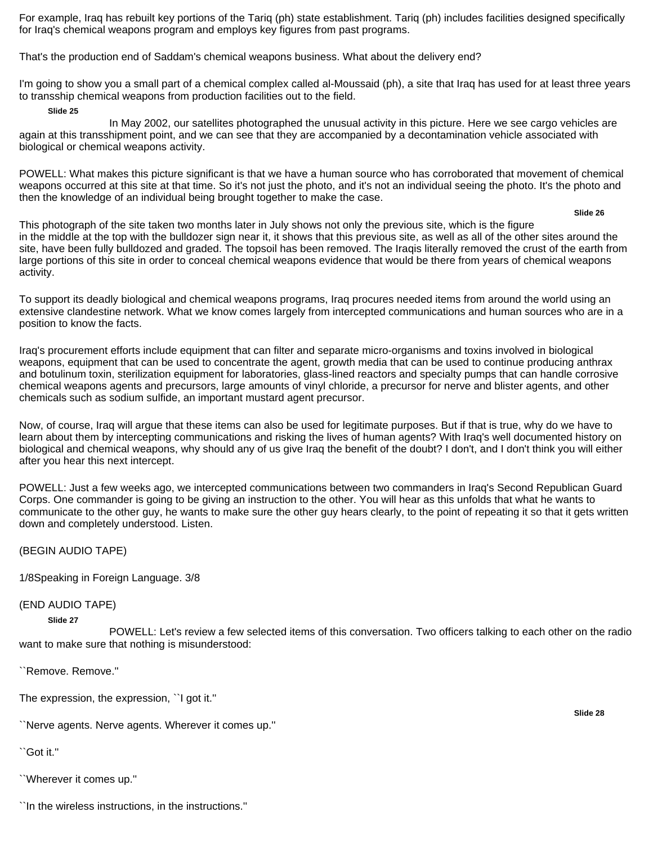For example, Iraq has rebuilt key portions of the Tariq (ph) state establishment. Tariq (ph) includes facilities designed specifically for Iraq's chemical weapons program and employs key figures from past programs.

That's the production end of Saddam's chemical weapons business. What about the delivery end?

I'm going to show you a small part of a chemical complex called al-Moussaid (ph), a site that Iraq has used for at least three years to transship chemical weapons from production facilities out to the field.

### **Slide 25**

In May 2002, our satellites photographed the unusual activity in this picture. Here we see cargo vehicles are again at this transshipment point, and we can see that they are accompanied by a decontamination vehicle associated with biological or chemical weapons activity.

POWELL: What makes this picture significant is that we have a human source who has corroborated that movement of chemical weapons occurred at this site at that time. So it's not just the photo, and it's not an individual seeing the photo. It's the photo and then the knowledge of an individual being brought together to make the case.

**Slide 26**

This photograph of the site taken two months later in July shows not only the previous site, which is the figure in the middle at the top with the bulldozer sign near it, it shows that this previous site, as well as all of the other sites around the site, have been fully bulldozed and graded. The topsoil has been removed. The Iraqis literally removed the crust of the earth from large portions of this site in order to conceal chemical weapons evidence that would be there from years of chemical weapons activity.

To support its deadly biological and chemical weapons programs, Iraq procures needed items from around the world using an extensive clandestine network. What we know comes largely from intercepted communications and human sources who are in a position to know the facts.

Iraq's procurement efforts include equipment that can filter and separate micro-organisms and toxins involved in biological weapons, equipment that can be used to concentrate the agent, growth media that can be used to continue producing anthrax and botulinum toxin, sterilization equipment for laboratories, glass-lined reactors and specialty pumps that can handle corrosive chemical weapons agents and precursors, large amounts of vinyl chloride, a precursor for nerve and blister agents, and other chemicals such as sodium sulfide, an important mustard agent precursor.

Now, of course, Iraq will argue that these items can also be used for legitimate purposes. But if that is true, why do we have to learn about them by intercepting communications and risking the lives of human agents? With Iraq's well documented history on biological and chemical weapons, why should any of us give Iraq the benefit of the doubt? I don't, and I don't think you will either after you hear this next intercept.

POWELL: Just a few weeks ago, we intercepted communications between two commanders in Iraq's Second Republican Guard Corps. One commander is going to be giving an instruction to the other. You will hear as this unfolds that what he wants to communicate to the other guy, he wants to make sure the other guy hears clearly, to the point of repeating it so that it gets written down and completely understood. Listen.

(BEGIN AUDIO TAPE)

1/8Speaking in Foreign Language. 3/8

(END AUDIO TAPE)

**Slide 27**

POWELL: Let's review a few selected items of this conversation. Two officers talking to each other on the radio want to make sure that nothing is misunderstood:

``Remove. Remove.''

The expression, the expression, ``I got it.''

``Nerve agents. Nerve agents. Wherever it comes up.''

``Got it.''

``Wherever it comes up.''

``In the wireless instructions, in the instructions.''

**Slide 28**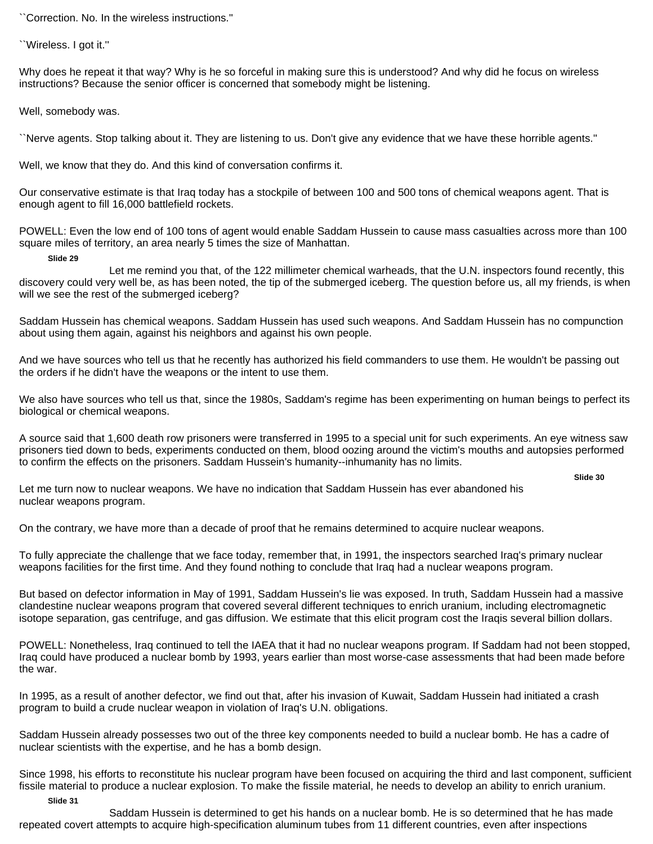``Correction. No. In the wireless instructions.''

``Wireless. I got it.''

Why does he repeat it that way? Why is he so forceful in making sure this is understood? And why did he focus on wireless instructions? Because the senior officer is concerned that somebody might be listening.

Well, somebody was.

``Nerve agents. Stop talking about it. They are listening to us. Don't give any evidence that we have these horrible agents.''

Well, we know that they do. And this kind of conversation confirms it.

Our conservative estimate is that Iraq today has a stockpile of between 100 and 500 tons of chemical weapons agent. That is enough agent to fill 16,000 battlefield rockets.

POWELL: Even the low end of 100 tons of agent would enable Saddam Hussein to cause mass casualties across more than 100 square miles of territory, an area nearly 5 times the size of Manhattan.

**Slide 29**

Let me remind you that, of the 122 millimeter chemical warheads, that the U.N. inspectors found recently, this discovery could very well be, as has been noted, the tip of the submerged iceberg. The question before us, all my friends, is when will we see the rest of the submerged iceberg?

Saddam Hussein has chemical weapons. Saddam Hussein has used such weapons. And Saddam Hussein has no compunction about using them again, against his neighbors and against his own people.

And we have sources who tell us that he recently has authorized his field commanders to use them. He wouldn't be passing out the orders if he didn't have the weapons or the intent to use them.

We also have sources who tell us that, since the 1980s, Saddam's regime has been experimenting on human beings to perfect its biological or chemical weapons.

A source said that 1,600 death row prisoners were transferred in 1995 to a special unit for such experiments. An eye witness saw prisoners tied down to beds, experiments conducted on them, blood oozing around the victim's mouths and autopsies performed to confirm the effects on the prisoners. Saddam Hussein's humanity--inhumanity has no limits.

**Slide 30**

Let me turn now to nuclear weapons. We have no indication that Saddam Hussein has ever abandoned his nuclear weapons program.

On the contrary, we have more than a decade of proof that he remains determined to acquire nuclear weapons.

To fully appreciate the challenge that we face today, remember that, in 1991, the inspectors searched Iraq's primary nuclear weapons facilities for the first time. And they found nothing to conclude that Iraq had a nuclear weapons program.

But based on defector information in May of 1991, Saddam Hussein's lie was exposed. In truth, Saddam Hussein had a massive clandestine nuclear weapons program that covered several different techniques to enrich uranium, including electromagnetic isotope separation, gas centrifuge, and gas diffusion. We estimate that this elicit program cost the Iraqis several billion dollars.

POWELL: Nonetheless, Iraq continued to tell the IAEA that it had no nuclear weapons program. If Saddam had not been stopped, Iraq could have produced a nuclear bomb by 1993, years earlier than most worse-case assessments that had been made before the war.

In 1995, as a result of another defector, we find out that, after his invasion of Kuwait, Saddam Hussein had initiated a crash program to build a crude nuclear weapon in violation of Iraq's U.N. obligations.

Saddam Hussein already possesses two out of the three key components needed to build a nuclear bomb. He has a cadre of nuclear scientists with the expertise, and he has a bomb design.

Since 1998, his efforts to reconstitute his nuclear program have been focused on acquiring the third and last component, sufficient fissile material to produce a nuclear explosion. To make the fissile material, he needs to develop an ability to enrich uranium.

#### **Slide 31**

Saddam Hussein is determined to get his hands on a nuclear bomb. He is so determined that he has made repeated covert attempts to acquire high-specification aluminum tubes from 11 different countries, even after inspections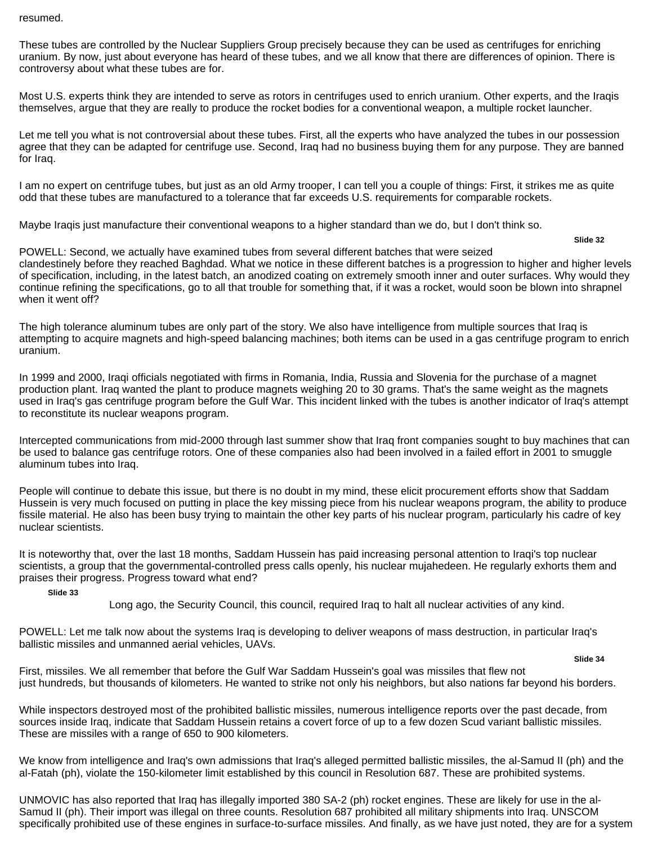resumed.

These tubes are controlled by the Nuclear Suppliers Group precisely because they can be used as centrifuges for enriching uranium. By now, just about everyone has heard of these tubes, and we all know that there are differences of opinion. There is controversy about what these tubes are for.

Most U.S. experts think they are intended to serve as rotors in centrifuges used to enrich uranium. Other experts, and the Iraqis themselves, argue that they are really to produce the rocket bodies for a conventional weapon, a multiple rocket launcher.

Let me tell you what is not controversial about these tubes. First, all the experts who have analyzed the tubes in our possession agree that they can be adapted for centrifuge use. Second, Iraq had no business buying them for any purpose. They are banned for Iraq.

I am no expert on centrifuge tubes, but just as an old Army trooper, I can tell you a couple of things: First, it strikes me as quite odd that these tubes are manufactured to a tolerance that far exceeds U.S. requirements for comparable rockets.

Maybe Iraqis just manufacture their conventional weapons to a higher standard than we do, but I don't think so.

**Slide 32**

POWELL: Second, we actually have examined tubes from several different batches that were seized clandestinely before they reached Baghdad. What we notice in these different batches is a progression to higher and higher levels of specification, including, in the latest batch, an anodized coating on extremely smooth inner and outer surfaces. Why would they continue refining the specifications, go to all that trouble for something that, if it was a rocket, would soon be blown into shrapnel when it went off?

The high tolerance aluminum tubes are only part of the story. We also have intelligence from multiple sources that Iraq is attempting to acquire magnets and high-speed balancing machines; both items can be used in a gas centrifuge program to enrich uranium.

In 1999 and 2000, Iraqi officials negotiated with firms in Romania, India, Russia and Slovenia for the purchase of a magnet production plant. Iraq wanted the plant to produce magnets weighing 20 to 30 grams. That's the same weight as the magnets used in Iraq's gas centrifuge program before the Gulf War. This incident linked with the tubes is another indicator of Iraq's attempt to reconstitute its nuclear weapons program.

Intercepted communications from mid-2000 through last summer show that Iraq front companies sought to buy machines that can be used to balance gas centrifuge rotors. One of these companies also had been involved in a failed effort in 2001 to smuggle aluminum tubes into Iraq.

People will continue to debate this issue, but there is no doubt in my mind, these elicit procurement efforts show that Saddam Hussein is very much focused on putting in place the key missing piece from his nuclear weapons program, the ability to produce fissile material. He also has been busy trying to maintain the other key parts of his nuclear program, particularly his cadre of key nuclear scientists.

It is noteworthy that, over the last 18 months, Saddam Hussein has paid increasing personal attention to Iraqi's top nuclear scientists, a group that the governmental-controlled press calls openly, his nuclear mujahedeen. He regularly exhorts them and praises their progress. Progress toward what end?

**Slide 33**

Long ago, the Security Council, this council, required Iraq to halt all nuclear activities of any kind.

POWELL: Let me talk now about the systems Iraq is developing to deliver weapons of mass destruction, in particular Iraq's ballistic missiles and unmanned aerial vehicles, UAVs.

**Slide 34**

First, missiles. We all remember that before the Gulf War Saddam Hussein's goal was missiles that flew not just hundreds, but thousands of kilometers. He wanted to strike not only his neighbors, but also nations far beyond his borders.

While inspectors destroyed most of the prohibited ballistic missiles, numerous intelligence reports over the past decade, from sources inside Iraq, indicate that Saddam Hussein retains a covert force of up to a few dozen Scud variant ballistic missiles. These are missiles with a range of 650 to 900 kilometers.

We know from intelligence and Iraq's own admissions that Iraq's alleged permitted ballistic missiles, the al-Samud II (ph) and the al-Fatah (ph), violate the 150-kilometer limit established by this council in Resolution 687. These are prohibited systems.

UNMOVIC has also reported that Iraq has illegally imported 380 SA-2 (ph) rocket engines. These are likely for use in the al-Samud II (ph). Their import was illegal on three counts. Resolution 687 prohibited all military shipments into Iraq. UNSCOM specifically prohibited use of these engines in surface-to-surface missiles. And finally, as we have just noted, they are for a system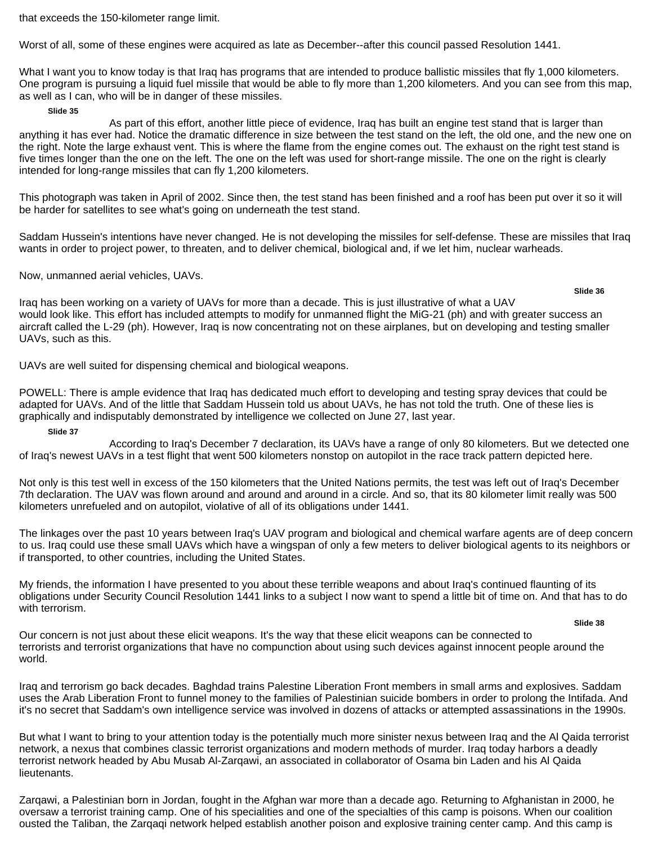that exceeds the 150-kilometer range limit.

Worst of all, some of these engines were acquired as late as December--after this council passed Resolution 1441.

What I want you to know today is that Iraq has programs that are intended to produce ballistic missiles that fly 1,000 kilometers. One program is pursuing a liquid fuel missile that would be able to fly more than 1,200 kilometers. And you can see from this map, as well as I can, who will be in danger of these missiles.

#### **Slide 35**

As part of this effort, another little piece of evidence, Iraq has built an engine test stand that is larger than anything it has ever had. Notice the dramatic difference in size between the test stand on the left, the old one, and the new one on the right. Note the large exhaust vent. This is where the flame from the engine comes out. The exhaust on the right test stand is five times longer than the one on the left. The one on the left was used for short-range missile. The one on the right is clearly intended for long-range missiles that can fly 1,200 kilometers.

This photograph was taken in April of 2002. Since then, the test stand has been finished and a roof has been put over it so it will be harder for satellites to see what's going on underneath the test stand.

Saddam Hussein's intentions have never changed. He is not developing the missiles for self-defense. These are missiles that Iraq wants in order to project power, to threaten, and to deliver chemical, biological and, if we let him, nuclear warheads.

Now, unmanned aerial vehicles, UAVs.

Iraq has been working on a variety of UAVs for more than a decade. This is just illustrative of what a UAV would look like. This effort has included attempts to modify for unmanned flight the MiG-21 (ph) and with greater success an aircraft called the L-29 (ph). However, Iraq is now concentrating not on these airplanes, but on developing and testing smaller UAVs, such as this.

UAVs are well suited for dispensing chemical and biological weapons.

POWELL: There is ample evidence that Iraq has dedicated much effort to developing and testing spray devices that could be adapted for UAVs. And of the little that Saddam Hussein told us about UAVs, he has not told the truth. One of these lies is graphically and indisputably demonstrated by intelligence we collected on June 27, last year.

#### **Slide 37**

According to Iraq's December 7 declaration, its UAVs have a range of only 80 kilometers. But we detected one of Iraq's newest UAVs in a test flight that went 500 kilometers nonstop on autopilot in the race track pattern depicted here.

Not only is this test well in excess of the 150 kilometers that the United Nations permits, the test was left out of Iraq's December 7th declaration. The UAV was flown around and around and around in a circle. And so, that its 80 kilometer limit really was 500 kilometers unrefueled and on autopilot, violative of all of its obligations under 1441.

The linkages over the past 10 years between Iraq's UAV program and biological and chemical warfare agents are of deep concern to us. Iraq could use these small UAVs which have a wingspan of only a few meters to deliver biological agents to its neighbors or if transported, to other countries, including the United States.

My friends, the information I have presented to you about these terrible weapons and about Iraq's continued flaunting of its obligations under Security Council Resolution 1441 links to a subject I now want to spend a little bit of time on. And that has to do with terrorism.

**Slide 38**

Our concern is not just about these elicit weapons. It's the way that these elicit weapons can be connected to terrorists and terrorist organizations that have no compunction about using such devices against innocent people around the world.

Iraq and terrorism go back decades. Baghdad trains Palestine Liberation Front members in small arms and explosives. Saddam uses the Arab Liberation Front to funnel money to the families of Palestinian suicide bombers in order to prolong the Intifada. And it's no secret that Saddam's own intelligence service was involved in dozens of attacks or attempted assassinations in the 1990s.

But what I want to bring to your attention today is the potentially much more sinister nexus between Iraq and the Al Qaida terrorist network, a nexus that combines classic terrorist organizations and modern methods of murder. Iraq today harbors a deadly terrorist network headed by Abu Musab Al-Zarqawi, an associated in collaborator of Osama bin Laden and his Al Qaida lieutenants.

Zarqawi, a Palestinian born in Jordan, fought in the Afghan war more than a decade ago. Returning to Afghanistan in 2000, he oversaw a terrorist training camp. One of his specialities and one of the specialties of this camp is poisons. When our coalition ousted the Taliban, the Zarqaqi network helped establish another poison and explosive training center camp. And this camp is

**Slide 36**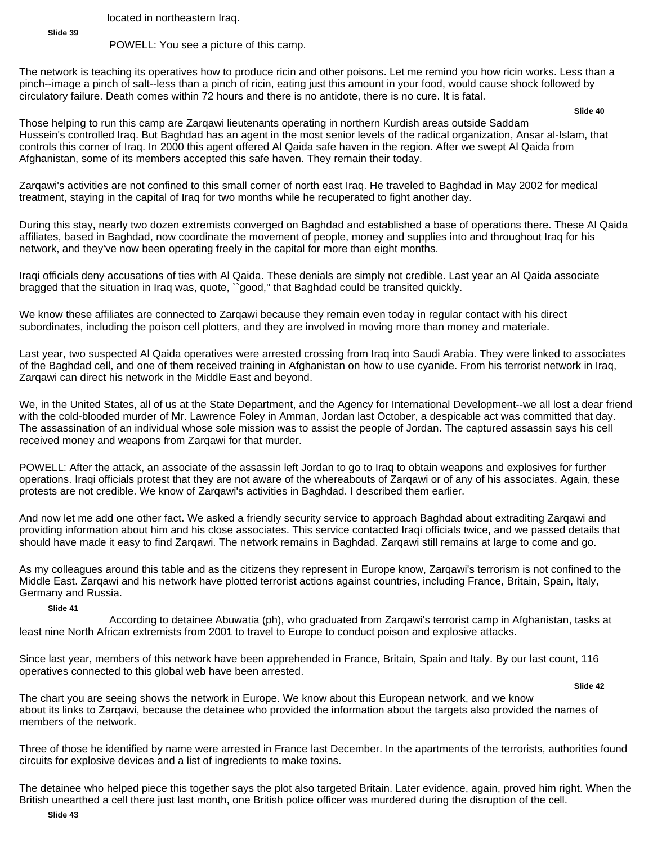located in northeastern Iraq.

**Slide 39**

POWELL: You see a picture of this camp.

The network is teaching its operatives how to produce ricin and other poisons. Let me remind you how ricin works. Less than a pinch--image a pinch of salt--less than a pinch of ricin, eating just this amount in your food, would cause shock followed by circulatory failure. Death comes within 72 hours and there is no antidote, there is no cure. It is fatal.

**Slide 40**

Those helping to run this camp are Zarqawi lieutenants operating in northern Kurdish areas outside Saddam Hussein's controlled Iraq. But Baghdad has an agent in the most senior levels of the radical organization, Ansar al-Islam, that controls this corner of Iraq. In 2000 this agent offered Al Qaida safe haven in the region. After we swept Al Qaida from Afghanistan, some of its members accepted this safe haven. They remain their today.

Zarqawi's activities are not confined to this small corner of north east Iraq. He traveled to Baghdad in May 2002 for medical treatment, staying in the capital of Iraq for two months while he recuperated to fight another day.

During this stay, nearly two dozen extremists converged on Baghdad and established a base of operations there. These Al Qaida affiliates, based in Baghdad, now coordinate the movement of people, money and supplies into and throughout Iraq for his network, and they've now been operating freely in the capital for more than eight months.

Iraqi officials deny accusations of ties with Al Qaida. These denials are simply not credible. Last year an Al Qaida associate bragged that the situation in Iraq was, quote, ``good,'' that Baghdad could be transited quickly.

We know these affiliates are connected to Zarqawi because they remain even today in regular contact with his direct subordinates, including the poison cell plotters, and they are involved in moving more than money and materiale.

Last year, two suspected Al Qaida operatives were arrested crossing from Iraq into Saudi Arabia. They were linked to associates of the Baghdad cell, and one of them received training in Afghanistan on how to use cyanide. From his terrorist network in Iraq, Zargawi can direct his network in the Middle East and beyond.

We, in the United States, all of us at the State Department, and the Agency for International Development--we all lost a dear friend with the cold-blooded murder of Mr. Lawrence Foley in Amman, Jordan last October, a despicable act was committed that day. The assassination of an individual whose sole mission was to assist the people of Jordan. The captured assassin says his cell received money and weapons from Zarqawi for that murder.

POWELL: After the attack, an associate of the assassin left Jordan to go to Iraq to obtain weapons and explosives for further operations. Iraqi officials protest that they are not aware of the whereabouts of Zarqawi or of any of his associates. Again, these protests are not credible. We know of Zarqawi's activities in Baghdad. I described them earlier.

And now let me add one other fact. We asked a friendly security service to approach Baghdad about extraditing Zarqawi and providing information about him and his close associates. This service contacted Iraqi officials twice, and we passed details that should have made it easy to find Zarqawi. The network remains in Baghdad. Zarqawi still remains at large to come and go.

As my colleagues around this table and as the citizens they represent in Europe know, Zarqawi's terrorism is not confined to the Middle East. Zarqawi and his network have plotted terrorist actions against countries, including France, Britain, Spain, Italy, Germany and Russia.

**Slide 41**

According to detainee Abuwatia (ph), who graduated from Zarqawi's terrorist camp in Afghanistan, tasks at least nine North African extremists from 2001 to travel to Europe to conduct poison and explosive attacks.

Since last year, members of this network have been apprehended in France, Britain, Spain and Italy. By our last count, 116 operatives connected to this global web have been arrested.

**Slide 42**

The chart you are seeing shows the network in Europe. We know about this European network, and we know about its links to Zarqawi, because the detainee who provided the information about the targets also provided the names of members of the network.

Three of those he identified by name were arrested in France last December. In the apartments of the terrorists, authorities found circuits for explosive devices and a list of ingredients to make toxins.

The detainee who helped piece this together says the plot also targeted Britain. Later evidence, again, proved him right. When the British unearthed a cell there just last month, one British police officer was murdered during the disruption of the cell.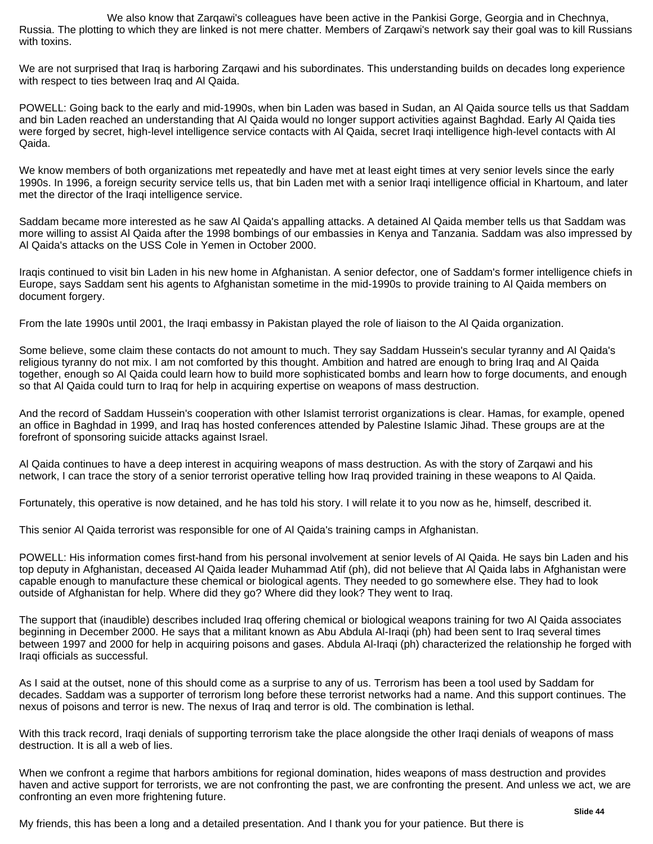We also know that Zarqawi's colleagues have been active in the Pankisi Gorge, Georgia and in Chechnya, Russia. The plotting to which they are linked is not mere chatter. Members of Zarqawi's network say their goal was to kill Russians with toxins.

We are not surprised that Iraq is harboring Zarqawi and his subordinates. This understanding builds on decades long experience with respect to ties between Iraq and Al Qaida.

POWELL: Going back to the early and mid-1990s, when bin Laden was based in Sudan, an Al Qaida source tells us that Saddam and bin Laden reached an understanding that Al Qaida would no longer support activities against Baghdad. Early Al Qaida ties were forged by secret, high-level intelligence service contacts with Al Qaida, secret Iraqi intelligence high-level contacts with Al Qaida.

We know members of both organizations met repeatedly and have met at least eight times at very senior levels since the early 1990s. In 1996, a foreign security service tells us, that bin Laden met with a senior Iraqi intelligence official in Khartoum, and later met the director of the Iraqi intelligence service.

Saddam became more interested as he saw Al Qaida's appalling attacks. A detained Al Qaida member tells us that Saddam was more willing to assist Al Qaida after the 1998 bombings of our embassies in Kenya and Tanzania. Saddam was also impressed by Al Qaida's attacks on the USS Cole in Yemen in October 2000.

Iraqis continued to visit bin Laden in his new home in Afghanistan. A senior defector, one of Saddam's former intelligence chiefs in Europe, says Saddam sent his agents to Afghanistan sometime in the mid-1990s to provide training to Al Qaida members on document forgery.

From the late 1990s until 2001, the Iraqi embassy in Pakistan played the role of liaison to the Al Qaida organization.

Some believe, some claim these contacts do not amount to much. They say Saddam Hussein's secular tyranny and Al Qaida's religious tyranny do not mix. I am not comforted by this thought. Ambition and hatred are enough to bring Iraq and Al Qaida together, enough so Al Qaida could learn how to build more sophisticated bombs and learn how to forge documents, and enough so that Al Qaida could turn to Iraq for help in acquiring expertise on weapons of mass destruction.

And the record of Saddam Hussein's cooperation with other Islamist terrorist organizations is clear. Hamas, for example, opened an office in Baghdad in 1999, and Iraq has hosted conferences attended by Palestine Islamic Jihad. These groups are at the forefront of sponsoring suicide attacks against Israel.

Al Qaida continues to have a deep interest in acquiring weapons of mass destruction. As with the story of Zarqawi and his network, I can trace the story of a senior terrorist operative telling how Iraq provided training in these weapons to Al Qaida.

Fortunately, this operative is now detained, and he has told his story. I will relate it to you now as he, himself, described it.

This senior Al Qaida terrorist was responsible for one of Al Qaida's training camps in Afghanistan.

POWELL: His information comes first-hand from his personal involvement at senior levels of Al Qaida. He says bin Laden and his top deputy in Afghanistan, deceased Al Qaida leader Muhammad Atif (ph), did not believe that Al Qaida labs in Afghanistan were capable enough to manufacture these chemical or biological agents. They needed to go somewhere else. They had to look outside of Afghanistan for help. Where did they go? Where did they look? They went to Iraq.

The support that (inaudible) describes included Iraq offering chemical or biological weapons training for two Al Qaida associates beginning in December 2000. He says that a militant known as Abu Abdula Al-Iraqi (ph) had been sent to Iraq several times between 1997 and 2000 for help in acquiring poisons and gases. Abdula Al-Iraqi (ph) characterized the relationship he forged with Iraqi officials as successful.

As I said at the outset, none of this should come as a surprise to any of us. Terrorism has been a tool used by Saddam for decades. Saddam was a supporter of terrorism long before these terrorist networks had a name. And this support continues. The nexus of poisons and terror is new. The nexus of Iraq and terror is old. The combination is lethal.

With this track record, Iraqi denials of supporting terrorism take the place alongside the other Iraqi denials of weapons of mass destruction. It is all a web of lies.

When we confront a regime that harbors ambitions for regional domination, hides weapons of mass destruction and provides haven and active support for terrorists, we are not confronting the past, we are confronting the present. And unless we act, we are confronting an even more frightening future.